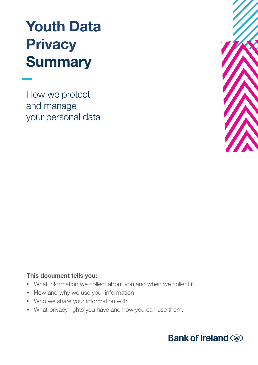# Youth Data **Privacy Summary**

How we protect and manage your personal data



# This document tells you:

- What information we collect about you and when we collect it
- How and why we use your information
- $\triangleright$  Who we share your information with
- What privacy rights you have and how you can use them.

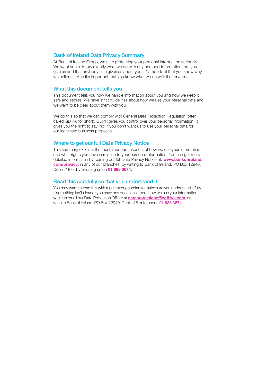#### Bank of Ireland Data Privacy Summary

At Bank of Ireland Group, we take protecting your personal information seriously. We want you to know exactly what we do with any personal information that you give us and that anybody else gives us about you. It's important that you know why we collect it. And it's important that you know what we do with it afterwards.

#### What this document tells you

This document tells you how we handle information about you and how we keep it safe and secure. We have strict guidelines about how we use your personal data and we want to be clear about them with you.

We do this so that we can comply with General Data Protection Regulation (often called GDPR, for short). GDPR gives you control over your personal information. It gives you the right to say 'no' if you don't want us to use your personal data for our legitimate business purposes.

#### Where to get our full Data Privacy Notice

This summary explains the most important aspects of how we use your information and what rights you have in relation to your personal information. You can get more detailed information by reading our full Data Privacy Notice at: www.bankofireland. com/privacy, in any of our branches, by writing to Bank of Ireland, PO Box 12940, Dublin 18 or by phoning us on **01 688 3674**.

#### Read this carefully so that you understand it

You may want to read this with a parent or guardian to make sure you understand it fully. If something isn't clear or you have any questions about how we use your information, you can email our Data Protection Officer at dataprotectionoffice@boi.com, or write to Bank of Ireland, PO Box 12940, Dublin 18 or to phone 01 688 3674.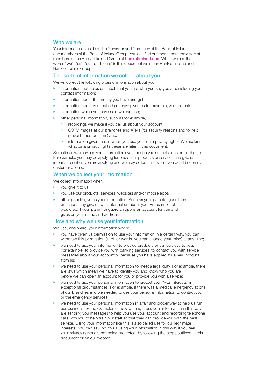## Who we are

Your information is held by The Governor and Company of the Bank of Ireland and members of the Bank of Ireland Group. You can find out more about the different members of the Bank of Ireland Group at bankofireland.com When we use the words "we", "us', "our" and "ours' in this document we mean Bank of Ireland and Bank of Ireland Group.

#### The sorts of information we collect about you

We will collect the following types of information about you:

- information that helps us check that you are who you say you are, including your contact information;
- $\blacktriangleright$  information about the money you have and get;
- information about you that others have given us for example, your parents
- information which you have said we can use;
- other personal information, such as for example,
	- recordings we make if you call us about your account,  $\triangleright$
	- $\triangleright$ CCTV images at our branches and ATMs (for security reasons and to help prevent fraud or crime) and,
	- $\overline{B}$ information given to use when you use your data privacy rights. We explain what data privacy rights these are later in this document.

Sometimes we may use your information even though you are not a customer of ours. For example, you may be applying for one of our products or services and give us information when you are applying and we may collect this even if you don't become a customer of ours.

#### When we collect your information

We collect information when:

- you give it to us;
- you use our products, services, websites and/or mobile apps;
- other people give us your information. Such as your parents, guardians or school may give us with information about you. An example of this would be, if your parent or guardian opens an account for you and gives us your name and address.

#### How and why we use your information

We use, and share, your information when:

- you have given us permission to use your information in a certain way, you can withdraw this permission (in other words, you can change your mind) at any time;
- we need to use your information to provide products or our services to you. For example, to provide you with banking services, to contact you with service messages about your account or because you have applied for a new product from us;
- we need to use your personal information to meet a legal duty. For example, there are laws which mean we have to identify you and know who you are before we can open an account for you or provide you with a service;
- we need to use your personal information to protect your "vital interests" in exceptional circumstances. For example, if there was a medical emergency at one of our branches and we needed to use your personal information to contact you or the emergency services;
- we need to use your personal information in a fair and proper way to help us run our business. Some examples of how we might use your information in this way are sending you messages to help you use your account and recording telephone calls with you to help train our staff so that they can provide you with the best service. Using your information like this is also called use for our legitimate interests. You can say 'no' to us using your information in this way if you feel your privacy rights are not being protected, by following the steps outlined in this document or on our website.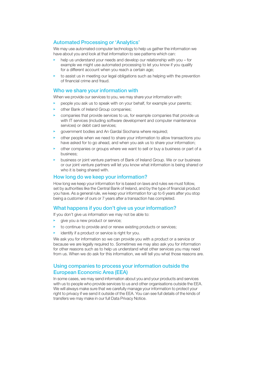# Automated Processing or 'Analytics'

We may use automated computer technology to help us gather the information we have about you and look at that information to see patterns which can:

- help us understand your needs and develop our relationship with you for example we might use automated processing to let you know if you qualify for a different account when you reach a certain age;
- $\blacktriangleright$  to assist us in meeting our legal obligations such as helping with the prevention of financial crime and fraud.

#### Who we share your information with

When we provide our services to you, we may share your information with:

- people you ask us to speak with on your behalf, for example your parents;
- other Bank of Ireland Group companies;
- companies that provide services to us, for example companies that provide us with IT services (including software development and computer maintenance services) or debit card services;
- government bodies and An Gardaí Siochana where required;
- other people when we need to share your information to allow transactions you have asked for to go ahead, and when you ask us to share your information;
- other companies or groups where we want to sell or buy a business or part of a business;
- business or joint venture partners of Bank of Ireland Group. We or our business or our joint venture partners will let you know what information is being shared or who it is being shared with.

## How long do we keep your information?

How long we keep your information for is based on laws and rules we must follow, set by authorities like the Central Bank of Ireland, and by the type of financial product you have. As a general rule, we keep your information for up to 6 years after you stop being a customer of ours or 7 years after a transaction has completed.

# What happens if you don't give us your information?

If you don't give us information we may not be able to:

- $\blacktriangleright$  give you a new product or service;
- $\blacktriangleright$  to continue to provide and or renew existing products or services;
- identify if a product or service is right for you.

We ask you for information so we can provide you with a product or a service or because we are legally required to. Sometimes we may also ask you for information for other reasons such as to help us understand what other services you may need from us. When we do ask for this information, we will tell you what those reasons are.

# Using companies to process your information outside the European Economic Area (EEA)

In some cases, we may send information about you and your products and services with us to people who provide services to us and other organisations outside the EEA. We will always make sure that we carefully manage your information to protect your right to privacy if we send it outside of the EEA. You can see full details of the kinds of transfers we may make in our full Data Privacy Notice.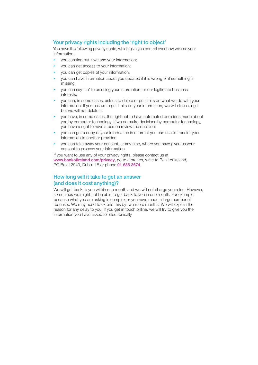# Your privacy rights including the 'right to object'

You have the following privacy rights, which give you control over how we use your information:

- $\blacktriangleright$  you can find out if we use your information;
- you can get access to your information;
- you can get copies of your information;
- you can have information about you updated if it is wrong or if something is missing;
- you can say 'no' to us using your information for our legitimate business interests;
- you can, in some cases, ask us to delete or put limits on what we do with your information. If you ask us to put limits on your information, we will stop using it but we will not delete it;
- you have, in some cases, the right not to have automated decisions made about you by computer technology. If we do make decisions by computer technology, you have a right to have a person review the decision;
- you can get a copy of your information in a format you can use to transfer your information to another provider;
- you can take away your consent, at any time, where you have given us your consent to process your information.

If you want to use any of your privacy rights, please contact us at www.bankofireland.com/privacy, go to a branch, write to Bank of Ireland, PO Box 12940, Dublin 18 or phone 01 688 3674.

# How long will it take to get an answer (and does it cost anything)?

We will get back to you within one month and we will not charge you a fee. However, sometimes we might not be able to get back to you in one month. For example, because what you are asking is complex or you have made a large number of requests. We may need to extend this by two more months. We will explain the reason for any delay to you. If you get in touch online, we will try to give you the information you have asked for electronically.